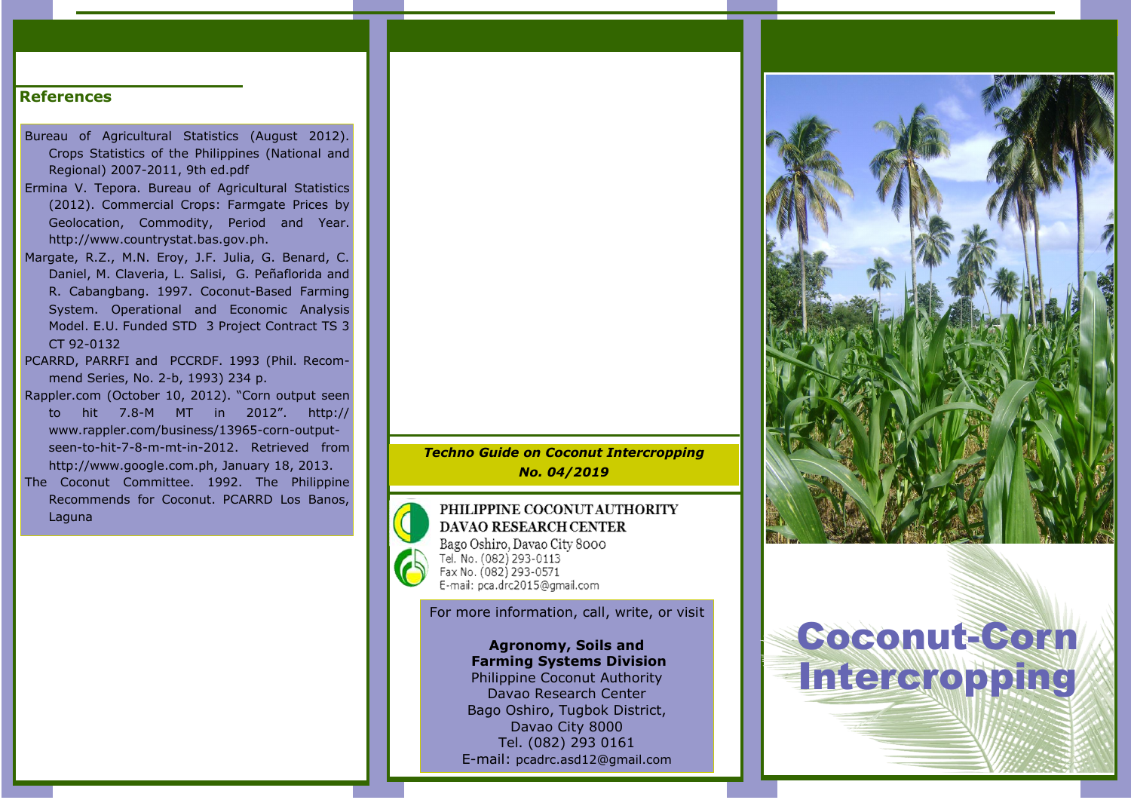#### References

- Bureau of Agricultural Statistics (August 2012). Crops Statistics of the Philippines (National and Regional) 2007-2011, 9th ed.pdf
- Ermina V. Tepora. Bureau of Agricultural Statistics (2012). Commercial Crops: Farmgate Prices by Geolocation, Commodity, Period and Year. http://www.countrystat.bas.gov.ph.
- Margate, R.Z., M.N. Eroy, J.F. Julia, G. Benard, C. Daniel, M. Claveria, L. Salisi, G. Peñaflorida and R. Cabangbang. 1997. Coconut-Based Farming System. Operational and Economic Analysis Model. E.U. Funded STD 3 Project Contract TS 3 CT 92-0132
- PCARRD, PARRFI and PCCRDF. 1993 (Phil. Recommend Series, No. 2-b, 1993) 234 p.
- Rappler.com (October 10, 2012). "Corn output seen to hit 7.8-M MT in 2012". http:// www.rappler.com/business/13965-corn-outputseen-to-hit-7-8-m-mt-in-2012. Retrieved from http://www.google.com.ph, January 18, 2013.
- The Coconut Committee. 1992. The Philippine Recommends for Coconut. PCARRD Los Banos, Laguna

*Techno Guide on Coconut Intercropping No. 04/2019*

#### PHILIPPINE COCONUT AUTHORITY DAVAO RESEARCH CENTER Bago Oshiro, Davao City 8000 Tel. No. (082) 293-0113 Fax No. (082) 293-0571

E-mail: pca.drc2015@gmail.com

For more information, call, write, or visit

# Agronomy, Soils and Farming Systems Division

Philippine Coconut Authority Davao Research Center Bago Oshiro, Tugbok District, Davao City 8000 Tel. (082) 293 0161 E-mail: pcadrc.asd12@gmail.com